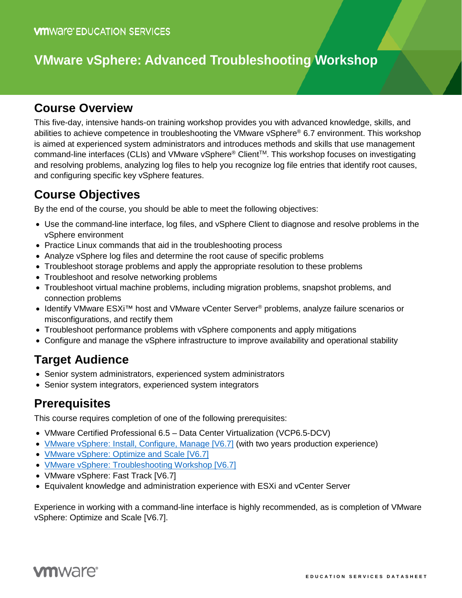# **VMware vSphere: Advanced Troubleshooting Workshop**

### **Course Overview**

This five-day, intensive hands-on training workshop provides you with advanced knowledge, skills, and abilities to achieve competence in troubleshooting the VMware vSphere® 6.7 environment. This workshop is aimed at experienced system administrators and introduces methods and skills that use management command-line interfaces (CLIs) and VMware vSphere® ClientTM. This workshop focuses on investigating and resolving problems, analyzing log files to help you recognize log file entries that identify root causes, and configuring specific key vSphere features.

## **Course Objectives**

By the end of the course, you should be able to meet the following objectives:

- Use the command-line interface, log files, and vSphere Client to diagnose and resolve problems in the vSphere environment
- Practice Linux commands that aid in the troubleshooting process
- Analyze vSphere log files and determine the root cause of specific problems
- Troubleshoot storage problems and apply the appropriate resolution to these problems
- Troubleshoot and resolve networking problems
- Troubleshoot virtual machine problems, including migration problems, snapshot problems, and connection problems
- Identify VMware ESXi<sup>™</sup> host and VMware vCenter Server<sup>®</sup> problems, analyze failure scenarios or misconfigurations, and rectify them
- Troubleshoot performance problems with vSphere components and apply mitigations
- Configure and manage the vSphere infrastructure to improve availability and operational stability

### **Target Audience**

- Senior system administrators, experienced system administrators
- Senior system integrators, experienced system integrators

### **Prerequisites**

This course requires completion of one of the following prerequisites:

- VMware Certified Professional 6.5 Data Center Virtualization (VCP6.5-DCV)
- [VMware vSphere: Install, Configure, Manage \[V6.7\]](https://mylearn.vmware.com/mgrReg/courses.cfm?ui=www_edu&a=one&id_subject=84058) (with two years production experience)
- [VMware vSphere: Optimize and Scale \[V6.7\]](https://mylearn.vmware.com/mgrReg/courses.cfm?ui=www_edu&a=one&id_subject=84155)
- [VMware vSphere: Troubleshooting Workshop \[V6.7\]](https://mylearn.vmware.com/mgrReg/courses.cfm?ui=www_edu&a=one&id_subject=84216)
- VMware vSphere: Fast Track [V6.7]
- Equivalent knowledge and administration experience with ESXi and vCenter Server

Experience in working with a command-line interface is highly recommended, as is completion of VMware vSphere: Optimize and Scale [V6.7].

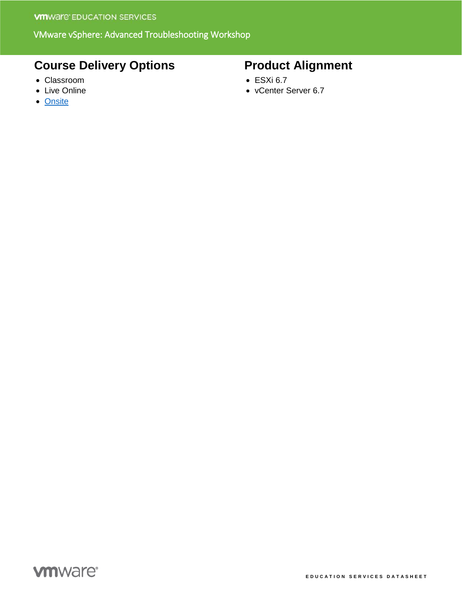#### VMware vSphere: Advanced Troubleshooting Workshop

## **Course Delivery Options**

- Classroom
- Live Online
- [Onsite](http://mylearn.vmware.com/mgrReg/plan.cfm?plan=38045&ui=www_edu)

## **Product Alignment**

- ESXi 6.7
- vCenter Server 6.7